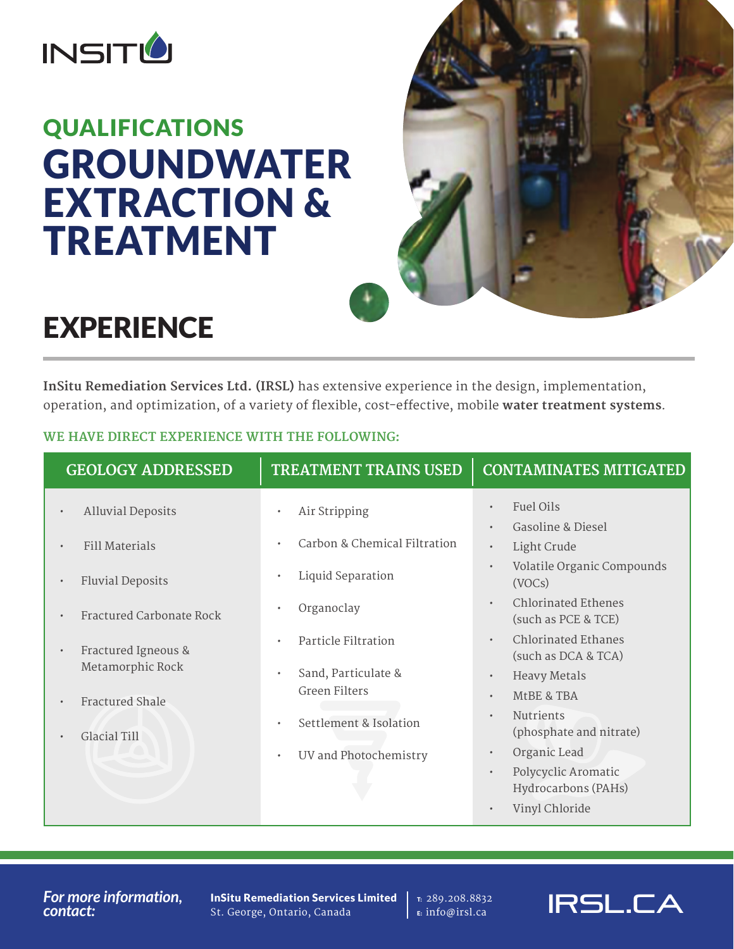

# QUALIFICATIONS GROUNDWATER EXTRACTION & TREATMENT



## **EXPERIENCE**

**InSitu Remediation Services Ltd. (IRSL)** has extensive experience in the design, implementation, operation, and optimization, of a variety of flexible, cost-effective, mobile **water treatment systems**.

### **WE HAVE DIRECT EXPERIENCE WITH THE FOLLOWING:**

| Fuel Oils<br>$\bullet$<br><b>Alluvial Deposits</b><br>Air Stripping<br>$\bullet$<br>$\bullet$<br>Gasoline & Diesel<br>$\bullet$<br>Carbon & Chemical Filtration<br><b>Fill Materials</b><br>$\bullet$<br>Light Crude<br>$\bullet$<br>$\bullet$<br>Liquid Separation<br>$\bullet$<br><b>Fluvial Deposits</b><br>(VOCs)<br>$\bullet$<br><b>Chlorinated Ethenes</b><br>$\bullet$<br>Organoclay<br>Fractured Carbonate Rock<br>(such as PCE & TCE)<br><b>Chlorinated Ethanes</b><br>Particle Filtration<br>$\bullet$<br>$\bullet$<br>Fractured Igneous &<br>$\bullet$<br>(such as DCA & TCA)<br>Metamorphic Rock<br>Sand, Particulate &<br>$\bullet$<br><b>Heavy Metals</b><br>$\bullet$<br><b>Green Filters</b><br>MtBE & TBA<br>$\bullet$<br><b>Fractured Shale</b><br>$\bullet$<br>Nutrients<br>$\bullet$<br>Settlement & Isolation<br>$\bullet$<br>(phosphate and nitrate)<br>Glacial Till<br>Organic Lead<br>$\bullet$<br>UV and Photochemistry<br>$\bullet$<br>Polycyclic Aromatic<br>$\bullet$ | <b>GEOLOGY ADDRESSED</b> | <b>TREATMENT TRAINS USED</b> | <b>CONTAMINATES MITIGATED</b> |
|---------------------------------------------------------------------------------------------------------------------------------------------------------------------------------------------------------------------------------------------------------------------------------------------------------------------------------------------------------------------------------------------------------------------------------------------------------------------------------------------------------------------------------------------------------------------------------------------------------------------------------------------------------------------------------------------------------------------------------------------------------------------------------------------------------------------------------------------------------------------------------------------------------------------------------------------------------------------------------------------------|--------------------------|------------------------------|-------------------------------|
|                                                                                                                                                                                                                                                                                                                                                                                                                                                                                                                                                                                                                                                                                                                                                                                                                                                                                                                                                                                                   |                          |                              | Volatile Organic Compounds    |
|                                                                                                                                                                                                                                                                                                                                                                                                                                                                                                                                                                                                                                                                                                                                                                                                                                                                                                                                                                                                   |                          |                              |                               |
|                                                                                                                                                                                                                                                                                                                                                                                                                                                                                                                                                                                                                                                                                                                                                                                                                                                                                                                                                                                                   |                          |                              |                               |
| Hydrocarbons (PAHs)<br>Vinyl Chloride<br>$\bullet$                                                                                                                                                                                                                                                                                                                                                                                                                                                                                                                                                                                                                                                                                                                                                                                                                                                                                                                                                |                          |                              |                               |

#### *For more information, contact:*

InSitu Remediation Services Limited St. George, Ontario, Canada

T: 289.208.8832